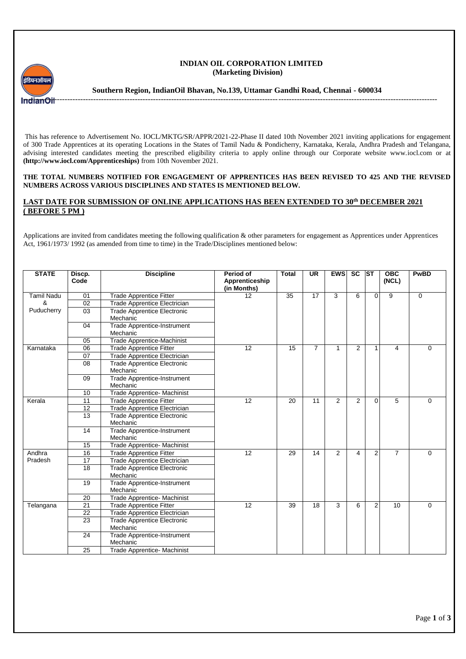

## **INDIAN OIL CORPORATION LIMITED (Marketing Division)**

**Southern Region, IndianOil Bhavan, No.139, Uttamar Gandhi Road, Chennai - 600034**

This has reference to Advertisement No. IOCL/MKTG/SR/APPR/2021-22-Phase II dated 10th November 2021 inviting applications for engagement of 300 Trade Apprentices at its operating Locations in the States of Tamil Nadu & Pondicherry, Karnataka, Kerala, Andhra Pradesh and Telangana, advising interested candidates meeting the prescribed eligibility criteria to apply online through our Corporate website www.iocl.com or at **(http://www.iocl.com/Apprenticeships)** from 10th November 2021.

## **THE TOTAL NUMBERS NOTIFIED FOR ENGAGEMENT OF APPRENTICES HAS BEEN REVISED TO 425 AND THE REVISED NUMBERS ACROSS VARIOUS DISCIPLINES AND STATES IS MENTIONED BELOW.**

## **LAST DATE FOR SUBMISSION OF ONLINE APPLICATIONS HAS BEEN EXTENDED TO 30th DECEMBER 2021 ( BEFORE 5 PM )**

Applications are invited from candidates meeting the following qualification & other parameters for engagement as Apprentices under Apprentices Act, 1961/1973/ 1992 (as amended from time to time) in the Trade/Disciplines mentioned below:

| <b>STATE</b>      | Discp.<br>Code | <b>Discipline</b>                              | Period of<br>Apprenticeship<br>(in Months) | <b>Total</b> | UR             | <b>EWS</b>     | <b>SC</b>      | <b>ST</b>      | <b>OBC</b><br>(NCL) | <b>PwBD</b> |
|-------------------|----------------|------------------------------------------------|--------------------------------------------|--------------|----------------|----------------|----------------|----------------|---------------------|-------------|
| <b>Tamil Nadu</b> | 01             | <b>Trade Apprentice Fitter</b>                 | 12                                         | 35           | 17             | 3              | 6              | $\Omega$       | 9                   | $\mathbf 0$ |
| &                 | 02             | <b>Trade Apprentice Electrician</b>            |                                            |              |                |                |                |                |                     |             |
| Puducherry        | 03             | <b>Trade Apprentice Electronic</b><br>Mechanic |                                            |              |                |                |                |                |                     |             |
|                   | 04             | <b>Trade Apprentice-Instrument</b><br>Mechanic |                                            |              |                |                |                |                |                     |             |
|                   | 05             | <b>Trade Apprentice-Machinist</b>              |                                            |              |                |                |                |                |                     |             |
| Karnataka         | 06             | <b>Trade Apprentice Fitter</b>                 | 12                                         | 15           | $\overline{7}$ | 1              | $\overline{2}$ | $\mathbf{1}$   | 4                   | $\Omega$    |
|                   | 07             | <b>Trade Apprentice Electrician</b>            |                                            |              |                |                |                |                |                     |             |
|                   | 08             | <b>Trade Apprentice Electronic</b><br>Mechanic |                                            |              |                |                |                |                |                     |             |
|                   | 09             | <b>Trade Apprentice-Instrument</b><br>Mechanic |                                            |              |                |                |                |                |                     |             |
|                   | 10             | Trade Apprentice- Machinist                    |                                            |              |                |                |                |                |                     |             |
| Kerala            | 11             | <b>Trade Apprentice Fitter</b>                 | 12                                         | 20           | 11             | $\overline{2}$ | 2              | $\mathbf 0$    | 5                   | 0           |
|                   | 12             | <b>Trade Apprentice Electrician</b>            |                                            |              |                |                |                |                |                     |             |
|                   | 13             | <b>Trade Apprentice Electronic</b><br>Mechanic |                                            |              |                |                |                |                |                     |             |
|                   | 14             | Trade Apprentice-Instrument<br>Mechanic        |                                            |              |                |                |                |                |                     |             |
|                   | 15             | Trade Apprentice- Machinist                    |                                            |              |                |                |                |                |                     |             |
| Andhra            | 16             | <b>Trade Apprentice Fitter</b>                 | 12                                         | 29           | 14             | $\overline{2}$ | $\overline{4}$ | $\overline{2}$ | $\overline{7}$      | $\Omega$    |
| Pradesh           | 17             | <b>Trade Apprentice Electrician</b>            |                                            |              |                |                |                |                |                     |             |
|                   | 18             | <b>Trade Apprentice Electronic</b><br>Mechanic |                                            |              |                |                |                |                |                     |             |
|                   | 19             | <b>Trade Apprentice-Instrument</b><br>Mechanic |                                            |              |                |                |                |                |                     |             |
|                   | 20             | Trade Apprentice- Machinist                    |                                            |              |                |                |                |                |                     |             |
| Telangana         | 21             | <b>Trade Apprentice Fitter</b>                 | $\overline{12}$                            | 39           | 18             | 3              | 6              | 2              | 10                  | $\mathbf 0$ |
|                   | 22             | <b>Trade Apprentice Electrician</b>            |                                            |              |                |                |                |                |                     |             |
|                   | 23             | <b>Trade Apprentice Electronic</b><br>Mechanic |                                            |              |                |                |                |                |                     |             |
|                   | 24             | Trade Apprentice-Instrument<br>Mechanic        |                                            |              |                |                |                |                |                     |             |
|                   | 25             | Trade Apprentice- Machinist                    |                                            |              |                |                |                |                |                     |             |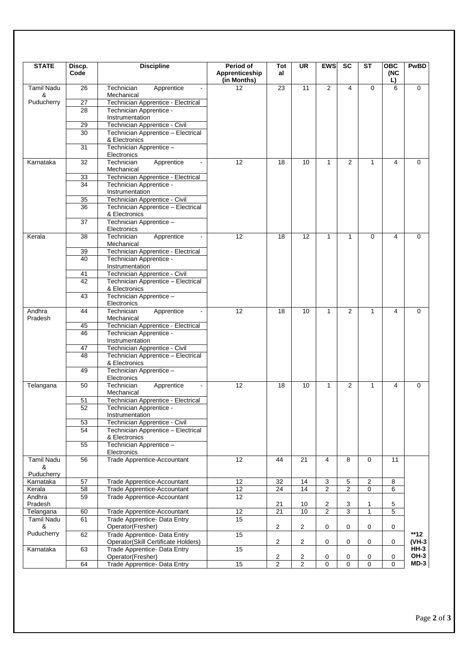| <b>STATE</b>           | Discp.<br>Code  | <b>Discipline</b>                                                   | <b>Period of</b><br>Apprenticeship<br>(in Months) | Tot<br>al      | <b>UR</b>       | <b>EWS</b>          | <b>SC</b>           | $\overline{\text{ST}}$ | $\overline{OBC}$<br>(NC<br>L) | <b>PwBD</b>         |
|------------------------|-----------------|---------------------------------------------------------------------|---------------------------------------------------|----------------|-----------------|---------------------|---------------------|------------------------|-------------------------------|---------------------|
| <b>Tamil Nadu</b><br>& | 26              | Technician<br>Apprentice<br>Mechanical                              | 12                                                | 23             | 11              | $\overline{2}$      | 4                   | 0                      | 6                             | $\mathbf 0$         |
| Puducherry             | 27              | Technician Apprentice - Electrical                                  |                                                   |                |                 |                     |                     |                        |                               |                     |
|                        | 28              | Technician Apprentice -<br>Instrumentation                          |                                                   |                |                 |                     |                     |                        |                               |                     |
|                        | 29              | Technician Apprentice - Civil                                       |                                                   |                |                 |                     |                     |                        |                               |                     |
|                        | 30              | Technician Apprentice - Electrical<br>& Electronics                 |                                                   |                |                 |                     |                     |                        |                               |                     |
|                        | 31              | Technician Apprentice -<br>Electronics                              |                                                   |                |                 |                     |                     |                        |                               |                     |
| Karnataka              | 32              | Technician<br>Apprentice<br>Mechanical                              | 12                                                | 18             | 10              | $\mathbf{1}$        | 2                   | $\mathbf{1}$           | 4                             | $\mathbf 0$         |
|                        | 33              | Technician Apprentice - Electrical                                  |                                                   |                |                 |                     |                     |                        |                               |                     |
|                        | 34              | Technician Apprentice -<br>Instrumentation                          |                                                   |                |                 |                     |                     |                        |                               |                     |
|                        | 35              | Technician Apprentice - Civil                                       |                                                   |                |                 |                     |                     |                        |                               |                     |
|                        | $\overline{36}$ | Technician Apprentice - Electrical<br>& Electronics                 |                                                   |                |                 |                     |                     |                        |                               |                     |
|                        | 37              | Technician Apprentice -<br>Electronics                              |                                                   |                |                 |                     |                     |                        |                               |                     |
| Kerala                 | 38              | Technician<br>Apprentice<br>Mechanical                              | 12                                                | 18             | $\overline{12}$ | $\mathbf{1}$        | $\mathbf{1}$        | 0                      | 4                             | $\mathbf 0$         |
|                        | 39              | Technician Apprentice - Electrical                                  |                                                   |                |                 |                     |                     |                        |                               |                     |
|                        | 40              | Technician Apprentice -<br>Instrumentation                          |                                                   |                |                 |                     |                     |                        |                               |                     |
|                        | 41              | Technician Apprentice - Civil                                       |                                                   |                |                 |                     |                     |                        |                               |                     |
|                        | 42              | Technician Apprentice - Electrical<br>& Electronics                 |                                                   |                |                 |                     |                     |                        |                               |                     |
|                        | 43              | Technician Apprentice -<br>Electronics                              |                                                   |                |                 |                     |                     |                        |                               |                     |
| Andhra<br>Pradesh      | 44              | Technician<br>Apprentice<br>Mechanical                              | 12                                                | 18             | 10              | $\mathbf{1}$        | 2                   | 1                      | 4                             | $\mathbf 0$         |
|                        | 45<br>46        | Technician Apprentice - Electrical<br>Technician Apprentice -       |                                                   |                |                 |                     |                     |                        |                               |                     |
|                        |                 | Instrumentation                                                     |                                                   |                |                 |                     |                     |                        |                               |                     |
|                        | 47              | Technician Apprentice - Civil                                       |                                                   |                |                 |                     |                     |                        |                               |                     |
|                        | 48              | Technician Apprentice - Electrical<br>& Electronics                 |                                                   |                |                 |                     |                     |                        |                               |                     |
|                        | 49              | Technician Apprentice -<br>Electronics                              |                                                   |                |                 |                     |                     |                        |                               |                     |
| Telangana              | 50              | Technician<br>Apprentice<br>Mechanical                              | 12                                                | 18             | 10              | 1                   | 2                   | 1                      | 4                             | 0                   |
|                        | 51              | Technician Apprentice - Electrical                                  |                                                   |                |                 |                     |                     |                        |                               |                     |
|                        | 52              | Technician Apprentice -<br>Instrumentation                          |                                                   |                |                 |                     |                     |                        |                               |                     |
|                        | 53              | Technician Apprentice - Civil                                       |                                                   |                |                 |                     |                     |                        |                               |                     |
|                        | 54              | Technician Apprentice - Electrical<br>& Electronics                 |                                                   |                |                 |                     |                     |                        |                               |                     |
|                        | 55              | Technician Apprentice -<br>Electronics                              |                                                   |                |                 |                     |                     |                        |                               |                     |
| <b>Tamil Nadu</b><br>& | 56              | Trade Apprentice-Accountant                                         | 12                                                | 44             | 21              | 4                   | 8                   | $\Omega$               | 11                            |                     |
| Puducherry             |                 |                                                                     |                                                   |                |                 |                     |                     |                        |                               |                     |
| Karnataka<br>Kerala    | 57<br>58        | Trade Apprentice-Accountant<br>Trade Apprentice-Accountant          | 12<br>$\overline{12}$                             | 32<br>24       | 14<br>14        | 3<br>$\overline{2}$ | 5<br>$\overline{2}$ | 2<br>$\Omega$          | 8<br>6                        |                     |
| Andhra<br>Pradesh      | 59              | Trade Apprentice-Accountant                                         | $\overline{12}$                                   | 21             | 10              | 2                   |                     | 1                      | 5                             |                     |
| Telangana              | 60              | Trade Apprentice-Accountant                                         | 12                                                | 21             | 10              | $\overline{2}$      | 3<br>3              | $\mathbf{1}$           | 5                             |                     |
| <b>Tamil Nadu</b><br>& | 61              | Trade Apprentice- Data Entry<br>Operator(Fresher)                   | 15                                                | $\overline{2}$ | $\overline{2}$  | 0                   | 0                   | 0                      | 0                             |                     |
| Puducherry             | 62              | Trade Apprentice- Data Entry<br>Operator(Skill Certificate Holders) | 15                                                | 2              | $\overline{2}$  | 0                   | 0                   | 0                      | 0                             | $**12$<br>(VH-3     |
| Karnataka              | 63              | Trade Apprentice- Data Entry<br>Operator(Fresher)                   | 15                                                | $\overline{a}$ | $\overline{2}$  | 0                   | 0                   | 0                      | 0                             | <b>HH-3</b><br>OH-3 |
|                        | 64              | Trade Apprentice- Data Entry                                        | 15                                                | $\overline{2}$ | $\overline{2}$  | 0                   | $\mathbf 0$         | $\mathbf 0$            | $\mathbf 0$                   | $MD-3$              |